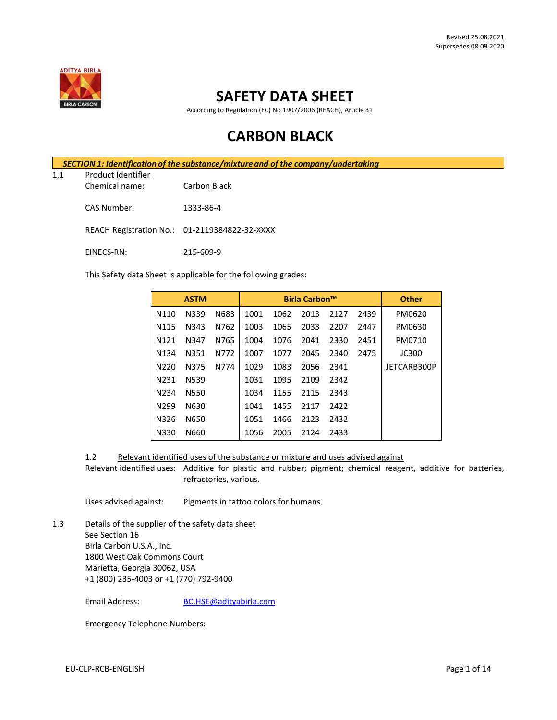

# **SAFETY DATA SHEET**

According to Regulation (EC) No 1907/2006 (REACH), Article 31

# **CARBON BLACK**

*SECTION 1: Identification of the substance/mixture and of the company/undertaking*

1.1 Product Identifier

Chemical name: Carbon Black

CAS Number: 1333-86-4

REACH Registration No.: 01-2119384822-32-XXXX

EINECS-RN: 215-609-9

This Safety data Sheet is applicable for the following grades:

| <b>ASTM</b>       |      |      | <b>Birla Carbon™</b> |      |      | <b>Other</b> |      |              |
|-------------------|------|------|----------------------|------|------|--------------|------|--------------|
| N110              | N339 | N683 | 1001                 | 1062 | 2013 | 2127         | 2439 | PM0620       |
| N <sub>115</sub>  | N343 | N762 | 1003                 | 1065 | 2033 | 2207         | 2447 | PM0630       |
| N <sub>121</sub>  | N347 | N765 | 1004                 | 1076 | 2041 | 2330         | 2451 | PM0710       |
| N <sub>1</sub> 34 | N351 | N772 | 1007                 | 1077 | 2045 | 2340         | 2475 | <b>JC300</b> |
| N220              | N375 | N774 | 1029                 | 1083 | 2056 | 2341         |      | JETCARB300P  |
| N231              | N539 |      | 1031                 | 1095 | 2109 | 2342         |      |              |
| N <sub>2</sub> 34 | N550 |      | 1034                 | 1155 | 2115 | 2343         |      |              |
| N <sub>299</sub>  | N630 |      | 1041                 | 1455 | 2117 | 2422         |      |              |
| N326              | N650 |      | 1051                 | 1466 | 2123 | 2432         |      |              |
| N330              | N660 |      | 1056                 | 2005 | 2124 | 2433         |      |              |

1.2 Relevant identified uses of the substance or mixture and uses advised against

Relevant identified uses: Additive for plastic and rubber; pigment; chemical reagent, additive for batteries, refractories, various.

Uses advised against: Pigments in tattoo colors for humans.

1.3 Details of the supplier of the safety data sheet See Section 16 Birla Carbon U.S.A., Inc. 1800 West Oak Commons Court Marietta, Georgia 30062, USA +1 (800) 235-4003 or +1 (770) 792-9400

Email Address: [BC.HSE@adityabirla.com](mailto:BC.HSE@adityabirla.com)

Emergency Telephone Numbers: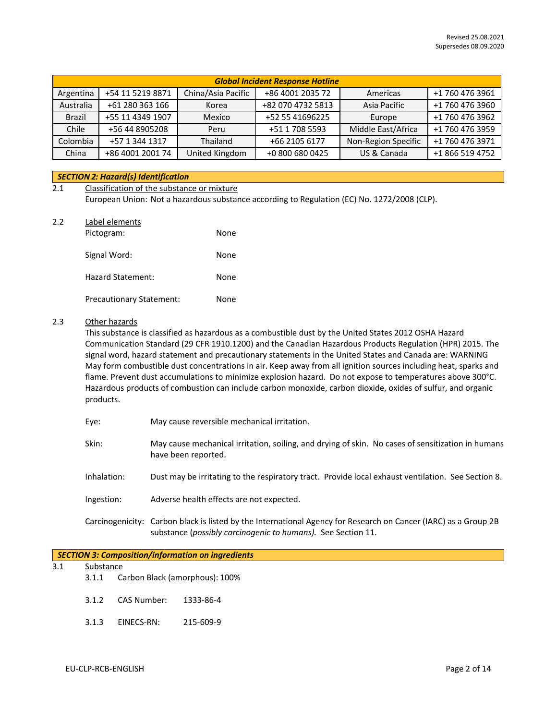|               | <b>Global Incident Response Hotline</b> |                    |                   |                     |                 |  |
|---------------|-----------------------------------------|--------------------|-------------------|---------------------|-----------------|--|
| Argentina     | +54 11 5219 8871                        | China/Asia Pacific | +86 4001 2035 72  | Americas            | +1 760 476 3961 |  |
| Australia     | +61 280 363 166                         | Korea              | +82 070 4732 5813 | Asia Pacific        | +1 760 476 3960 |  |
| <b>Brazil</b> | +55 11 4349 1907                        | Mexico             | +52 55 41696225   | Europe              | +1 760 476 3962 |  |
| Chile         | +56 44 8905208                          | Peru               | +51 1 708 5593    | Middle East/Africa  | +1 760 476 3959 |  |
| Colombia      | +57 1 344 1317                          | Thailand           | +66 2105 6177     | Non-Region Specific | +1 760 476 3971 |  |
| China         | +86 4001 2001 74                        | United Kingdom     | +0 800 680 0425   | US & Canada         | +1 866 519 4752 |  |

## *SECTION 2: Hazard(s) Identification*

| 2.1 | Classification of the substance or mixture |                                                                                             |  |  |
|-----|--------------------------------------------|---------------------------------------------------------------------------------------------|--|--|
|     |                                            | European Union: Not a hazardous substance according to Regulation (EC) No. 1272/2008 (CLP). |  |  |
| 2.2 | Label elements                             |                                                                                             |  |  |
|     | Pictogram:                                 | None                                                                                        |  |  |
|     |                                            |                                                                                             |  |  |

| Signal Word:                    | None |
|---------------------------------|------|
| Hazard Statement:               | None |
| <b>Precautionary Statement:</b> | None |

# 2.3 Other hazards

This substance is classified as hazardous as a combustible dust by the United States 2012 OSHA Hazard Communication Standard (29 CFR 1910.1200) and the Canadian Hazardous Products Regulation (HPR) 2015. The signal word, hazard statement and precautionary statements in the United States and Canada are: WARNING May form combustible dust concentrations in air. Keep away from all ignition sources including heat, sparks and flame. Prevent dust accumulations to minimize explosion hazard. Do not expose to temperatures above 300°C. Hazardous products of combustion can include carbon monoxide, carbon dioxide, oxides of sulfur, and organic products.

| Eye:        | May cause reversible mechanical irritation.                                                                                                                                     |
|-------------|---------------------------------------------------------------------------------------------------------------------------------------------------------------------------------|
| Skin:       | May cause mechanical irritation, soiling, and drying of skin. No cases of sensitization in humans<br>have been reported.                                                        |
| Inhalation: | Dust may be irritating to the respiratory tract. Provide local exhaust ventilation. See Section 8.                                                                              |
| Ingestion:  | Adverse health effects are not expected.                                                                                                                                        |
|             | Carcinogenicity: Carbon black is listed by the International Agency for Research on Cancer (IARC) as a Group 2B<br>substance (possibly carcinogenic to humans). See Section 11. |

|           | <b>SECTION 3: Composition/information on ingredients</b> |
|-----------|----------------------------------------------------------|
| Substance |                                                          |
| 3.1.1     | Carbon Black (amorphous): 100%                           |

- 3.1.2 CAS Number: 1333-86-4
- 3.1.3 EINECS-RN: 215-609-9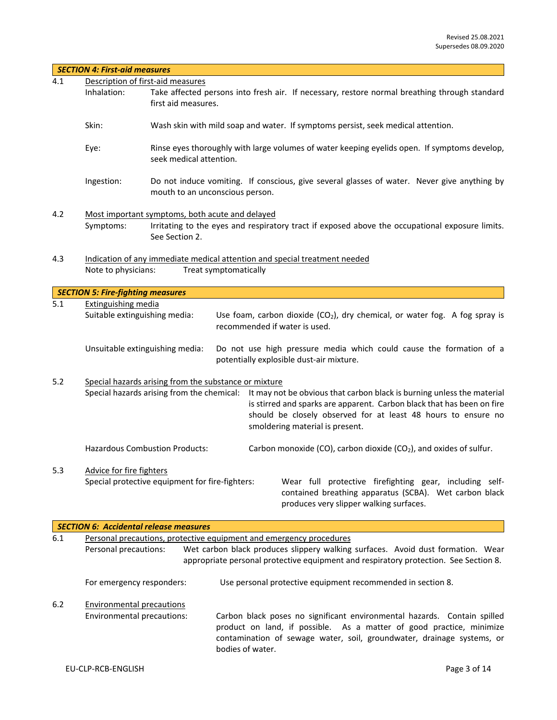|       | <b>SECTION 4: First-aid measures</b>                        |                                                                                                                                                                                                                                                                                                 |  |  |  |
|-------|-------------------------------------------------------------|-------------------------------------------------------------------------------------------------------------------------------------------------------------------------------------------------------------------------------------------------------------------------------------------------|--|--|--|
| 4.1   | Description of first-aid measures                           |                                                                                                                                                                                                                                                                                                 |  |  |  |
|       | Inhalation:                                                 | Take affected persons into fresh air. If necessary, restore normal breathing through standard<br>first aid measures.                                                                                                                                                                            |  |  |  |
|       | Skin:                                                       | Wash skin with mild soap and water. If symptoms persist, seek medical attention.                                                                                                                                                                                                                |  |  |  |
|       | Eye:                                                        | Rinse eyes thoroughly with large volumes of water keeping eyelids open. If symptoms develop,<br>seek medical attention.                                                                                                                                                                         |  |  |  |
|       | Ingestion:                                                  | Do not induce vomiting. If conscious, give several glasses of water. Never give anything by<br>mouth to an unconscious person.                                                                                                                                                                  |  |  |  |
| 4.2   |                                                             | Most important symptoms, both acute and delayed                                                                                                                                                                                                                                                 |  |  |  |
|       | Symptoms:                                                   | Irritating to the eyes and respiratory tract if exposed above the occupational exposure limits.<br>See Section 2.                                                                                                                                                                               |  |  |  |
| 4.3   |                                                             | Indication of any immediate medical attention and special treatment needed                                                                                                                                                                                                                      |  |  |  |
|       | Note to physicians:                                         | Treat symptomatically                                                                                                                                                                                                                                                                           |  |  |  |
|       |                                                             |                                                                                                                                                                                                                                                                                                 |  |  |  |
|       | <b>SECTION 5: Fire-fighting measures</b>                    |                                                                                                                                                                                                                                                                                                 |  |  |  |
| 5.1   | <b>Extinguishing media</b><br>Suitable extinguishing media: | Use foam, carbon dioxide $(CO_2)$ , dry chemical, or water fog. A fog spray is<br>recommended if water is used.                                                                                                                                                                                 |  |  |  |
|       |                                                             | Unsuitable extinguishing media:<br>Do not use high pressure media which could cause the formation of a<br>potentially explosible dust-air mixture.                                                                                                                                              |  |  |  |
| 5.2   |                                                             | Special hazards arising from the substance or mixture                                                                                                                                                                                                                                           |  |  |  |
|       |                                                             | Special hazards arising from the chemical: It may not be obvious that carbon black is burning unless the material<br>is stirred and sparks are apparent. Carbon black that has been on fire<br>should be closely observed for at least 48 hours to ensure no<br>smoldering material is present. |  |  |  |
|       |                                                             | Carbon monoxide (CO), carbon dioxide (CO <sub>2</sub> ), and oxides of sulfur.<br><b>Hazardous Combustion Products:</b>                                                                                                                                                                         |  |  |  |
| 5.3   | Advice for fire fighters                                    |                                                                                                                                                                                                                                                                                                 |  |  |  |
|       |                                                             | Special protective equipment for fire-fighters:<br>Wear full protective firefighting gear, including self-<br>contained breathing apparatus (SCBA). Wet carbon black<br>produces very slipper walking surfaces.                                                                                 |  |  |  |
|       |                                                             | <b>SECTION 6: Accidental release measures</b>                                                                                                                                                                                                                                                   |  |  |  |
| 6.1   |                                                             | Personal precautions, protective equipment and emergency procedures                                                                                                                                                                                                                             |  |  |  |
|       | Personal precautions:                                       | Wet carbon black produces slippery walking surfaces. Avoid dust formation. Wear<br>appropriate personal protective equipment and respiratory protection. See Section 8.                                                                                                                         |  |  |  |
|       | For emergency responders:                                   | Use personal protective equipment recommended in section 8.                                                                                                                                                                                                                                     |  |  |  |
| $6.2$ | <b>Environmental precautions</b>                            |                                                                                                                                                                                                                                                                                                 |  |  |  |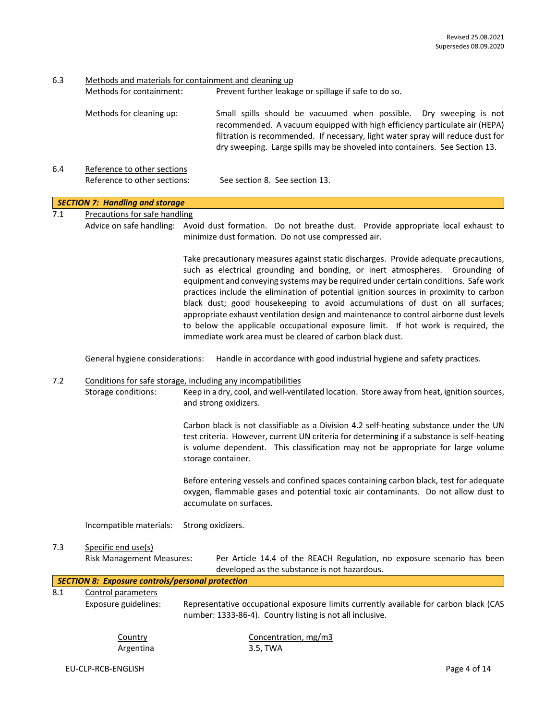6.3 Methods and materials for containment and cleaning up

|     | Methods for containment:                                    | Prevent further leakage or spillage if safe to do so.                                                                                                                                                                                                                                                                                                                                                                                                                                                                                                                                                                                                                              |
|-----|-------------------------------------------------------------|------------------------------------------------------------------------------------------------------------------------------------------------------------------------------------------------------------------------------------------------------------------------------------------------------------------------------------------------------------------------------------------------------------------------------------------------------------------------------------------------------------------------------------------------------------------------------------------------------------------------------------------------------------------------------------|
|     | Methods for cleaning up:                                    | Small spills should be vacuumed when possible.<br>Dry sweeping is not<br>recommended. A vacuum equipped with high efficiency particulate air (HEPA)<br>filtration is recommended. If necessary, light water spray will reduce dust for<br>dry sweeping. Large spills may be shoveled into containers. See Section 13.                                                                                                                                                                                                                                                                                                                                                              |
| 6.4 | Reference to other sections<br>Reference to other sections: | See section 8. See section 13.                                                                                                                                                                                                                                                                                                                                                                                                                                                                                                                                                                                                                                                     |
|     | <b>SECTION 7: Handling and storage</b>                      |                                                                                                                                                                                                                                                                                                                                                                                                                                                                                                                                                                                                                                                                                    |
| 7.1 | <b>Precautions for safe handling</b>                        | Advice on safe handling: Avoid dust formation. Do not breathe dust. Provide appropriate local exhaust to<br>minimize dust formation. Do not use compressed air.                                                                                                                                                                                                                                                                                                                                                                                                                                                                                                                    |
|     |                                                             | Take precautionary measures against static discharges. Provide adequate precautions,<br>such as electrical grounding and bonding, or inert atmospheres. Grounding of<br>equipment and conveying systems may be required under certain conditions. Safe work<br>practices include the elimination of potential ignition sources in proximity to carbon<br>black dust; good housekeeping to avoid accumulations of dust on all surfaces;<br>appropriate exhaust ventilation design and maintenance to control airborne dust levels<br>to below the applicable occupational exposure limit. If hot work is required, the<br>immediate work area must be cleared of carbon black dust. |
|     | General hygiene considerations:                             | Handle in accordance with good industrial hygiene and safety practices.                                                                                                                                                                                                                                                                                                                                                                                                                                                                                                                                                                                                            |
| 7.2 | Storage conditions:                                         | Conditions for safe storage, including any incompatibilities<br>Keep in a dry, cool, and well-ventilated location. Store away from heat, ignition sources,<br>and strong oxidizers.                                                                                                                                                                                                                                                                                                                                                                                                                                                                                                |
|     |                                                             | Carbon black is not classifiable as a Division 4.2 self-heating substance under the UN<br>test criteria. However, current UN criteria for determining if a substance is self-heating<br>is volume dependent. This classification may not be appropriate for large volume<br>storage container.                                                                                                                                                                                                                                                                                                                                                                                     |
|     |                                                             | Before entering vessels and confined spaces containing carbon black, test for adequate<br>oxygen, flammable gases and potential toxic air contaminants. Do not allow dust to<br>accumulate on surfaces.                                                                                                                                                                                                                                                                                                                                                                                                                                                                            |
|     | Incompatible materials:                                     | Strong oxidizers.                                                                                                                                                                                                                                                                                                                                                                                                                                                                                                                                                                                                                                                                  |
| 7.3 | Specific end use(s)<br><b>Risk Management Measures:</b>     | Per Article 14.4 of the REACH Regulation, no exposure scenario has been<br>developed as the substance is not hazardous.                                                                                                                                                                                                                                                                                                                                                                                                                                                                                                                                                            |
|     | <b>SECTION 8: Exposure controls/personal protection</b>     |                                                                                                                                                                                                                                                                                                                                                                                                                                                                                                                                                                                                                                                                                    |
| 8.1 | Control parameters<br>Exposure guidelines:                  | Representative occupational exposure limits currently available for carbon black (CAS<br>number: 1333-86-4). Country listing is not all inclusive.                                                                                                                                                                                                                                                                                                                                                                                                                                                                                                                                 |
|     | Country<br>Argentina                                        | Concentration, mg/m3<br>3.5, TWA                                                                                                                                                                                                                                                                                                                                                                                                                                                                                                                                                                                                                                                   |
|     | EU-CLP-RCB-ENGLISH                                          | Page 4 of 14                                                                                                                                                                                                                                                                                                                                                                                                                                                                                                                                                                                                                                                                       |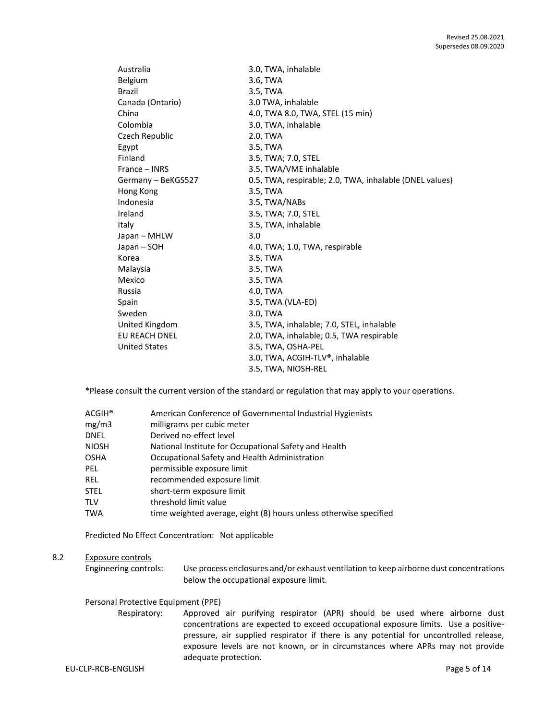| Australia            | 3.0, TWA, inhalable                                     |
|----------------------|---------------------------------------------------------|
| Belgium              | 3.6, TWA                                                |
| <b>Brazil</b>        | 3.5, TWA                                                |
| Canada (Ontario)     | 3.0 TWA, inhalable                                      |
| China                | 4.0, TWA 8.0, TWA, STEL (15 min)                        |
| Colombia             | 3.0, TWA, inhalable                                     |
| Czech Republic       | 2.0, TWA                                                |
| Egypt                | 3.5, TWA                                                |
| Finland              | 3.5, TWA; 7.0, STEL                                     |
| France - INRS        | 3.5, TWA/VME inhalable                                  |
| Germany - BeKGS527   | 0.5, TWA, respirable; 2.0, TWA, inhalable (DNEL values) |
| Hong Kong            | 3.5, TWA                                                |
| Indonesia            | 3.5, TWA/NABs                                           |
| Ireland              | 3.5, TWA; 7.0, STEL                                     |
| Italy                | 3.5, TWA, inhalable                                     |
| Japan – MHLW         | 3.0                                                     |
| Japan – SOH          | 4.0, TWA; 1.0, TWA, respirable                          |
| Korea                | 3.5, TWA                                                |
| Malaysia             | 3.5, TWA                                                |
| Mexico               | 3.5, TWA                                                |
| Russia               | 4.0, TWA                                                |
| Spain                | 3.5, TWA (VLA-ED)                                       |
| Sweden               | 3.0, TWA                                                |
| United Kingdom       | 3.5, TWA, inhalable; 7.0, STEL, inhalable               |
| EU REACH DNEL        | 2.0, TWA, inhalable; 0.5, TWA respirable                |
| <b>United States</b> | 3.5, TWA, OSHA-PEL                                      |
|                      | 3.0, TWA, ACGIH-TLV®, inhalable                         |
|                      | 3.5, TWA, NIOSH-REL                                     |

\*Please consult the current version of the standard or regulation that may apply to your operations.

| $ACGIH^*$    | American Conference of Governmental Industrial Hygienists         |
|--------------|-------------------------------------------------------------------|
| mg/m3        | milligrams per cubic meter                                        |
| <b>DNEL</b>  | Derived no-effect level                                           |
| <b>NIOSH</b> | National Institute for Occupational Safety and Health             |
| <b>OSHA</b>  | Occupational Safety and Health Administration                     |
| PEL.         | permissible exposure limit                                        |
| REL.         | recommended exposure limit                                        |
| <b>STEL</b>  | short-term exposure limit                                         |
| <b>TLV</b>   | threshold limit value                                             |
| <b>TWA</b>   | time weighted average, eight (8) hours unless otherwise specified |

Predicted No Effect Concentration: Not applicable

# 8.2 Exposure controls

Engineering controls: Use process enclosures and/or exhaust ventilation to keep airborne dust concentrations below the occupational exposure limit.

## Personal Protective Equipment (PPE)

Respiratory: Approved air purifying respirator (APR) should be used where airborne dust concentrations are expected to exceed occupational exposure limits. Use a positivepressure, air supplied respirator if there is any potential for uncontrolled release, exposure levels are not known, or in circumstances where APRs may not provide adequate protection.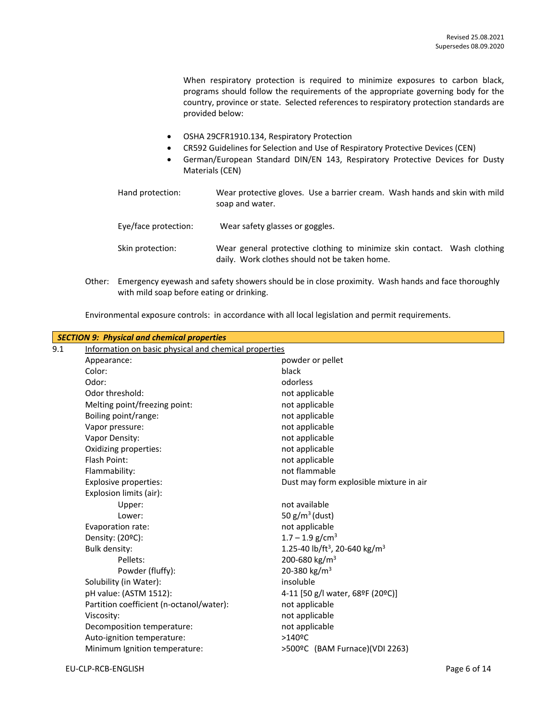When respiratory protection is required to minimize exposures to carbon black, programs should follow the requirements of the appropriate governing body for the country, province or state. Selected references to respiratory protection standards are provided below:

- OSHA 29CFR1910.134, Respiratory Protection
- CR592 Guidelines for Selection and Use of Respiratory Protective Devices (CEN)
- German/European Standard DIN/EN 143, Respiratory Protective Devices for Dusty Materials (CEN)
- Hand protection: Wear protective gloves. Use a barrier cream. Wash hands and skin with mild soap and water. Eye/face protection: Wear safety glasses or goggles.
- Skin protection: Wear general protective clothing to minimize skin contact. Wash clothing daily. Work clothes should not be taken home.
- Other: Emergency eyewash and safety showers should be in close proximity. Wash hands and face thoroughly with mild soap before eating or drinking.

Environmental exposure controls: in accordance with all local legislation and permit requirements.

|     | <b>SECTION 9: Physical and chemical properties</b>    |                                                       |
|-----|-------------------------------------------------------|-------------------------------------------------------|
| 9.1 | Information on basic physical and chemical properties |                                                       |
|     | Appearance:                                           | powder or pellet                                      |
|     | Color:                                                | black                                                 |
|     | Odor:                                                 | odorless                                              |
|     | Odor threshold:                                       | not applicable                                        |
|     | Melting point/freezing point:                         | not applicable                                        |
|     | Boiling point/range:                                  | not applicable                                        |
|     | Vapor pressure:                                       | not applicable                                        |
|     | Vapor Density:                                        | not applicable                                        |
|     | Oxidizing properties:                                 | not applicable                                        |
|     | Flash Point:                                          | not applicable                                        |
|     | Flammability:                                         | not flammable                                         |
|     | Explosive properties:                                 | Dust may form explosible mixture in air               |
|     | Explosion limits (air):                               |                                                       |
|     | Upper:                                                | not available                                         |
|     | Lower:                                                | 50 $g/m^3$ (dust)                                     |
|     | Evaporation rate:                                     | not applicable                                        |
|     | Density: (20°C):                                      | $1.7 - 1.9$ g/cm <sup>3</sup>                         |
|     | Bulk density:                                         | 1.25-40 lb/ft <sup>3</sup> , 20-640 kg/m <sup>3</sup> |
|     | Pellets:                                              | 200-680 kg/m <sup>3</sup>                             |
|     | Powder (fluffy):                                      | 20-380 kg/m <sup>3</sup>                              |
|     | Solubility (in Water):                                | insoluble                                             |
|     | pH value: (ASTM 1512):                                | 4-11 [50 g/l water, 68ºF (20ºC)]                      |
|     | Partition coefficient (n-octanol/water):              | not applicable                                        |
|     | Viscosity:                                            | not applicable                                        |
|     | Decomposition temperature:                            | not applicable                                        |
|     | Auto-ignition temperature:                            | $>140$ $\circ$ C                                      |
|     | Minimum Ignition temperature:                         | >500ºC (BAM Furnace)(VDI 2263)                        |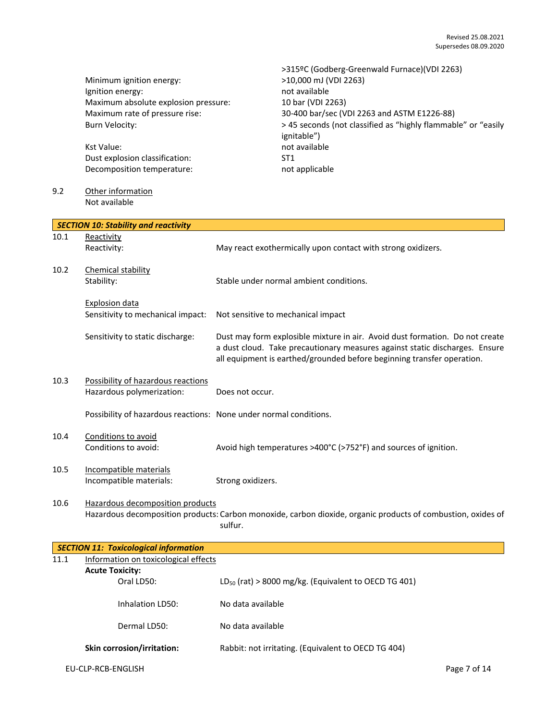|      | Minimum ignition energy:<br>Ignition energy:<br>Maximum absolute explosion pressure:<br>Maximum rate of pressure rise:<br><b>Burn Velocity:</b><br><b>Kst Value:</b><br>Dust explosion classification:<br>Decomposition temperature: | >315ºC (Godberg-Greenwald Furnace)(VDI 2263)<br>>10,000 mJ (VDI 2263)<br>not available<br>10 bar (VDI 2263)<br>30-400 bar/sec (VDI 2263 and ASTM E1226-88)<br>> 45 seconds (not classified as "highly flammable" or "easily<br>ignitable")<br>not available<br>ST <sub>1</sub><br>not applicable |
|------|--------------------------------------------------------------------------------------------------------------------------------------------------------------------------------------------------------------------------------------|--------------------------------------------------------------------------------------------------------------------------------------------------------------------------------------------------------------------------------------------------------------------------------------------------|
| 9.2  | Other information<br>Not available                                                                                                                                                                                                   |                                                                                                                                                                                                                                                                                                  |
|      | <b>SECTION 10: Stability and reactivity</b>                                                                                                                                                                                          |                                                                                                                                                                                                                                                                                                  |
| 10.1 | Reactivity<br>Reactivity:                                                                                                                                                                                                            | May react exothermically upon contact with strong oxidizers.                                                                                                                                                                                                                                     |
| 10.2 | Chemical stability<br>Stability:                                                                                                                                                                                                     | Stable under normal ambient conditions.                                                                                                                                                                                                                                                          |
|      | <b>Explosion data</b><br>Sensitivity to mechanical impact:                                                                                                                                                                           | Not sensitive to mechanical impact                                                                                                                                                                                                                                                               |
|      | Sensitivity to static discharge:                                                                                                                                                                                                     | Dust may form explosible mixture in air. Avoid dust formation. Do not create<br>a dust cloud. Take precautionary measures against static discharges. Ensure<br>all equipment is earthed/grounded before beginning transfer operation.                                                            |
| 10.3 | Possibility of hazardous reactions<br>Hazardous polymerization:                                                                                                                                                                      | Does not occur.                                                                                                                                                                                                                                                                                  |
|      | Possibility of hazardous reactions: None under normal conditions.                                                                                                                                                                    |                                                                                                                                                                                                                                                                                                  |
| 10.4 | Conditions to avoid<br>Conditions to avoid:                                                                                                                                                                                          | Avoid high temperatures >400°C (>752°F) and sources of ignition.                                                                                                                                                                                                                                 |
| 10.5 | Incompatible materials<br>Incompatible materials:                                                                                                                                                                                    | Strong oxidizers.                                                                                                                                                                                                                                                                                |
| 10.6 | Hazardous decomposition products                                                                                                                                                                                                     | Hazardous decomposition products: Carbon monoxide, carbon dioxide, organic products of combustion, oxides of<br>sulfur.                                                                                                                                                                          |
|      | <b>SECTION 11: Toxicological information</b>                                                                                                                                                                                         |                                                                                                                                                                                                                                                                                                  |
| 11.1 | Information on toxicological effects                                                                                                                                                                                                 |                                                                                                                                                                                                                                                                                                  |
|      | <b>Acute Toxicity:</b><br>Oral LD50:                                                                                                                                                                                                 | LD <sub>50</sub> (rat) > 8000 mg/kg. (Equivalent to OECD TG 401)                                                                                                                                                                                                                                 |
|      | Inhalation LD50:                                                                                                                                                                                                                     | No data available                                                                                                                                                                                                                                                                                |
|      | Dermal LD50:                                                                                                                                                                                                                         | No data available                                                                                                                                                                                                                                                                                |

Skin corrosion/irritation: Rabbit: not irritating. (Equivalent to OECD TG 404)

EU-CLP-RCB-ENGLISH Page 7 of 14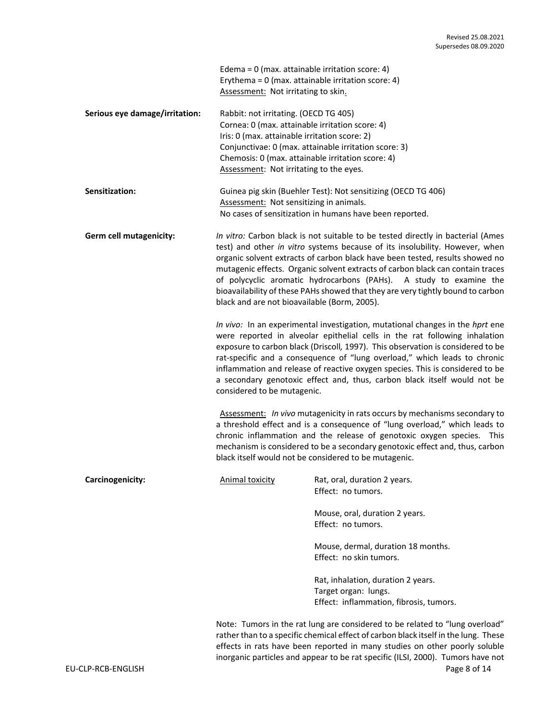|                                | Edema = $0$ (max. attainable irritation score: 4)<br>Assessment: Not irritating to skin.                                                                                                                                                                                                                                                                                                                                                                                                                                                  | Erythema = $0$ (max. attainable irritation score: 4)                                                                                                                                                                                              |  |  |  |
|--------------------------------|-------------------------------------------------------------------------------------------------------------------------------------------------------------------------------------------------------------------------------------------------------------------------------------------------------------------------------------------------------------------------------------------------------------------------------------------------------------------------------------------------------------------------------------------|---------------------------------------------------------------------------------------------------------------------------------------------------------------------------------------------------------------------------------------------------|--|--|--|
| Serious eye damage/irritation: | Rabbit: not irritating. (OECD TG 405)<br>Cornea: 0 (max. attainable irritation score: 4)<br>Iris: 0 (max. attainable irritation score: 2)<br>Chemosis: 0 (max. attainable irritation score: 4)<br>Assessment: Not irritating to the eyes.                                                                                                                                                                                                                                                                                                 | Conjunctivae: 0 (max. attainable irritation score: 3)                                                                                                                                                                                             |  |  |  |
| Sensitization:                 |                                                                                                                                                                                                                                                                                                                                                                                                                                                                                                                                           | Guinea pig skin (Buehler Test): Not sensitizing (OECD TG 406)<br>Assessment: Not sensitizing in animals.<br>No cases of sensitization in humans have been reported.                                                                               |  |  |  |
| Germ cell mutagenicity:        | In vitro: Carbon black is not suitable to be tested directly in bacterial (Ames<br>test) and other in vitro systems because of its insolubility. However, when<br>organic solvent extracts of carbon black have been tested, results showed no<br>mutagenic effects. Organic solvent extracts of carbon black can contain traces<br>of polycyclic aromatic hydrocarbons (PAHs). A study to examine the<br>bioavailability of these PAHs showed that they are very tightly bound to carbon<br>black and are not bioavailable (Borm, 2005). |                                                                                                                                                                                                                                                   |  |  |  |
|                                | In vivo: In an experimental investigation, mutational changes in the hprt ene<br>were reported in alveolar epithelial cells in the rat following inhalation<br>exposure to carbon black (Driscoll, 1997). This observation is considered to be<br>rat-specific and a consequence of "lung overload," which leads to chronic<br>inflammation and release of reactive oxygen species. This is considered to be<br>a secondary genotoxic effect and, thus, carbon black itself would not be<br>considered to be mutagenic.                   |                                                                                                                                                                                                                                                   |  |  |  |
|                                | Assessment: In vivo mutagenicity in rats occurs by mechanisms secondary to<br>a threshold effect and is a consequence of "lung overload," which leads to<br>chronic inflammation and the release of genotoxic oxygen species. This<br>mechanism is considered to be a secondary genotoxic effect and, thus, carbon<br>black itself would not be considered to be mutagenic.                                                                                                                                                               |                                                                                                                                                                                                                                                   |  |  |  |
| Carcinogenicity:               | <b>Animal toxicity</b>                                                                                                                                                                                                                                                                                                                                                                                                                                                                                                                    | Rat, oral, duration 2 years.<br>Effect: no tumors.                                                                                                                                                                                                |  |  |  |
|                                |                                                                                                                                                                                                                                                                                                                                                                                                                                                                                                                                           | Mouse, oral, duration 2 years.<br>Effect: no tumors.                                                                                                                                                                                              |  |  |  |
|                                |                                                                                                                                                                                                                                                                                                                                                                                                                                                                                                                                           | Mouse, dermal, duration 18 months.<br>Effect: no skin tumors.                                                                                                                                                                                     |  |  |  |
|                                |                                                                                                                                                                                                                                                                                                                                                                                                                                                                                                                                           | Rat, inhalation, duration 2 years.<br>Target organ: lungs.<br>Effect: inflammation, fibrosis, tumors.                                                                                                                                             |  |  |  |
|                                |                                                                                                                                                                                                                                                                                                                                                                                                                                                                                                                                           | Note: Tumors in the rat lung are considered to be related to "lung overload"<br>rather than to a specific chemical effect of carbon black itself in the lung. These<br>effects in rats have been reported in many studies on other poorly soluble |  |  |  |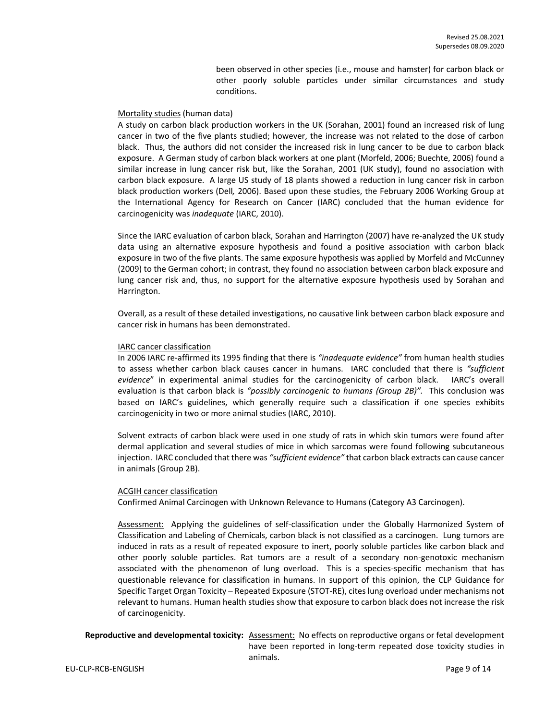been observed in other species (i.e., mouse and hamster) for carbon black or other poorly soluble particles under similar circumstances and study conditions.

#### Mortality studies (human data)

A study on carbon black production workers in the UK (Sorahan, 2001) found an increased risk of lung cancer in two of the five plants studied; however, the increase was not related to the dose of carbon black. Thus, the authors did not consider the increased risk in lung cancer to be due to carbon black exposure. A German study of carbon black workers at one plant (Morfeld, 2006; Buechte, 2006) found a similar increase in lung cancer risk but, like the Sorahan, 2001 (UK study), found no association with carbon black exposure. A large US study of 18 plants showed a reduction in lung cancer risk in carbon black production workers (Dell*,* 2006). Based upon these studies, the February 2006 Working Group at the International Agency for Research on Cancer (IARC) concluded that the human evidence for carcinogenicity was *inadequate* (IARC, 2010).

Since the IARC evaluation of carbon black, Sorahan and Harrington (2007) have re-analyzed the UK study data using an alternative exposure hypothesis and found a positive association with carbon black exposure in two of the five plants. The same exposure hypothesis was applied by Morfeld and McCunney (2009) to the German cohort; in contrast, they found no association between carbon black exposure and lung cancer risk and, thus, no support for the alternative exposure hypothesis used by Sorahan and Harrington.

Overall, as a result of these detailed investigations, no causative link between carbon black exposure and cancer risk in humans has been demonstrated.

#### IARC cancer classification

In 2006 IARC re-affirmed its 1995 finding that there is *"inadequate evidence"* from human health studies to assess whether carbon black causes cancer in humans. IARC concluded that there is *"sufficient evidence*" in experimental animal studies for the carcinogenicity of carbon black. IARC's overall evaluation is that carbon black is *"possibly carcinogenic to humans (Group 2B)".* This conclusion was based on IARC's guidelines, which generally require such a classification if one species exhibits carcinogenicity in two or more animal studies (IARC, 2010).

Solvent extracts of carbon black were used in one study of rats in which skin tumors were found after dermal application and several studies of mice in which sarcomas were found following subcutaneous injection. IARC concluded that there was *"sufficient evidence"* that carbon black extracts can cause cancer in animals (Group 2B).

#### ACGIH cancer classification

Confirmed Animal Carcinogen with Unknown Relevance to Humans (Category A3 Carcinogen).

Assessment: Applying the guidelines of self-classification under the Globally Harmonized System of Classification and Labeling of Chemicals, carbon black is not classified as a carcinogen. Lung tumors are induced in rats as a result of repeated exposure to inert, poorly soluble particles like carbon black and other poorly soluble particles. Rat tumors are a result of a secondary non-genotoxic mechanism associated with the phenomenon of lung overload. This is a species-specific mechanism that has questionable relevance for classification in humans. In support of this opinion, the CLP Guidance for Specific Target Organ Toxicity – Repeated Exposure (STOT-RE), cites lung overload under mechanisms not relevant to humans. Human health studies show that exposure to carbon black does not increase the risk of carcinogenicity.

**Reproductive and developmental toxicity:** Assessment: No effects on reproductive organs or fetal development have been reported in long-term repeated dose toxicity studies in animals.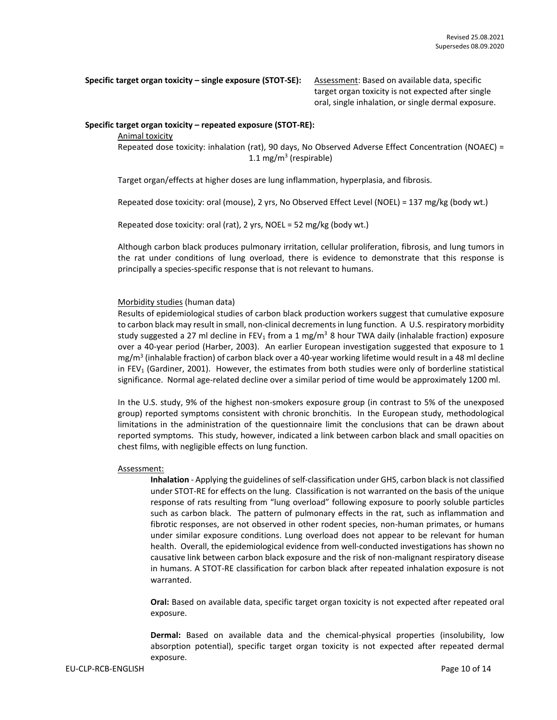**Specific target organ toxicity – single exposure (STOT-SE):** Assessment: Based on available data, specific

target organ toxicity is not expected after single oral, single inhalation, or single dermal exposure.

#### **Specific target organ toxicity – repeated exposure (STOT-RE):**

#### Animal toxicity

Repeated dose toxicity: inhalation (rat), 90 days, No Observed Adverse Effect Concentration (NOAEC) = 1.1 mg/m<sup>3</sup> (respirable)

Target organ/effects at higher doses are lung inflammation, hyperplasia, and fibrosis.

Repeated dose toxicity: oral (mouse), 2 yrs, No Observed Effect Level (NOEL) = 137 mg/kg (body wt.)

Repeated dose toxicity: oral (rat), 2 yrs, NOEL = 52 mg/kg (body wt.)

Although carbon black produces pulmonary irritation, cellular proliferation, fibrosis, and lung tumors in the rat under conditions of lung overload, there is evidence to demonstrate that this response is principally a species-specific response that is not relevant to humans.

# Morbidity studies (human data)

Results of epidemiological studies of carbon black production workers suggest that cumulative exposure to carbon black may result in small, non-clinical decrements in lung function. A U.S. respiratory morbidity study suggested a 27 ml decline in FEV<sub>1</sub> from a 1 mg/m<sup>3</sup> 8 hour TWA daily (inhalable fraction) exposure over a 40-year period (Harber, 2003). An earlier European investigation suggested that exposure to 1 mg/m<sup>3</sup> (inhalable fraction) of carbon black over a 40-year working lifetime would result in a 48 ml decline in FEV<sub>1</sub> (Gardiner, 2001). However, the estimates from both studies were only of borderline statistical significance. Normal age-related decline over a similar period of time would be approximately 1200 ml.

In the U.S. study, 9% of the highest non-smokers exposure group (in contrast to 5% of the unexposed group) reported symptoms consistent with chronic bronchitis. In the European study, methodological limitations in the administration of the questionnaire limit the conclusions that can be drawn about reported symptoms. This study, however, indicated a link between carbon black and small opacities on chest films, with negligible effects on lung function.

#### Assessment:

**Inhalation** - Applying the guidelines of self-classification under GHS, carbon black is not classified under STOT-RE for effects on the lung. Classification is not warranted on the basis of the unique response of rats resulting from "lung overload" following exposure to poorly soluble particles such as carbon black. The pattern of pulmonary effects in the rat, such as inflammation and fibrotic responses, are not observed in other rodent species, non-human primates, or humans under similar exposure conditions. Lung overload does not appear to be relevant for human health. Overall, the epidemiological evidence from well-conducted investigations has shown no causative link between carbon black exposure and the risk of non-malignant respiratory disease in humans. A STOT-RE classification for carbon black after repeated inhalation exposure is not warranted.

**Oral:** Based on available data, specific target organ toxicity is not expected after repeated oral exposure.

**Dermal:** Based on available data and the chemical-physical properties (insolubility, low absorption potential), specific target organ toxicity is not expected after repeated dermal exposure.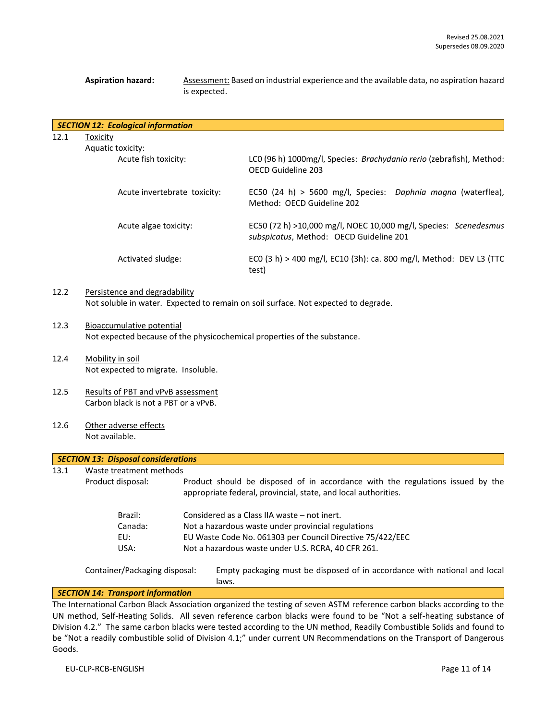Aspiration hazard: **Assessment: Based on industrial experience and the available data, no aspiration hazard** is expected.

|      | <b>SECTION 12: Ecological information</b> |                                                                                                             |
|------|-------------------------------------------|-------------------------------------------------------------------------------------------------------------|
| 12.1 | Toxicity                                  |                                                                                                             |
|      | Aquatic toxicity:                         |                                                                                                             |
|      | Acute fish toxicity:                      | LCO (96 h) 1000mg/l, Species: Brachydanio rerio (zebrafish), Method:<br>OECD Guideline 203                  |
|      | Acute invertebrate toxicity:              | EC50 (24 h) > 5600 mg/l, Species: Daphnia magna (waterflea),<br>Method: OECD Guideline 202                  |
|      | Acute algae toxicity:                     | EC50 (72 h) >10,000 mg/l, NOEC 10,000 mg/l, Species: Scenedesmus<br>subspicatus, Method: OECD Guideline 201 |
|      | Activated sludge:                         | ECO (3 h) > 400 mg/l, EC10 (3h): ca. 800 mg/l, Method: DEV L3 (TTC<br>test)                                 |
| 12.2 | Persistence and degradability             |                                                                                                             |

Not soluble in water. Expected to remain on soil surface. Not expected to degrade.

- 12.3 Bioaccumulative potential Not expected because of the physicochemical properties of the substance.
- 12.4 Mobility in soil Not expected to migrate. Insoluble.
- 12.5 Results of PBT and vPvB assessment Carbon black is not a PBT or a vPvB.
- 12.6 Other adverse effects Not available.

# *SECTION 13: Disposal considerations*

13.1 Waste treatment methods

Product disposal: Product should be disposed of in accordance with the regulations issued by the appropriate federal, provincial, state, and local authorities.

| Brazil: | Considered as a Class IIA waste – not inert.              |
|---------|-----------------------------------------------------------|
| Canada: | Not a hazardous waste under provincial regulations        |
| EU:     | EU Waste Code No. 061303 per Council Directive 75/422/EEC |
| USA:    | Not a hazardous waste under U.S. RCRA, 40 CFR 261.        |
|         |                                                           |

Container/Packaging disposal: Empty packaging must be disposed of in accordance with national and local laws.

#### *SECTION 14: Transport information*

The International Carbon Black Association organized the testing of seven ASTM reference carbon blacks according to the UN method, Self-Heating Solids. All seven reference carbon blacks were found to be "Not a self-heating substance of Division 4.2." The same carbon blacks were tested according to the UN method, Readily Combustible Solids and found to be "Not a readily combustible solid of Division 4.1;" under current UN Recommendations on the Transport of Dangerous Goods.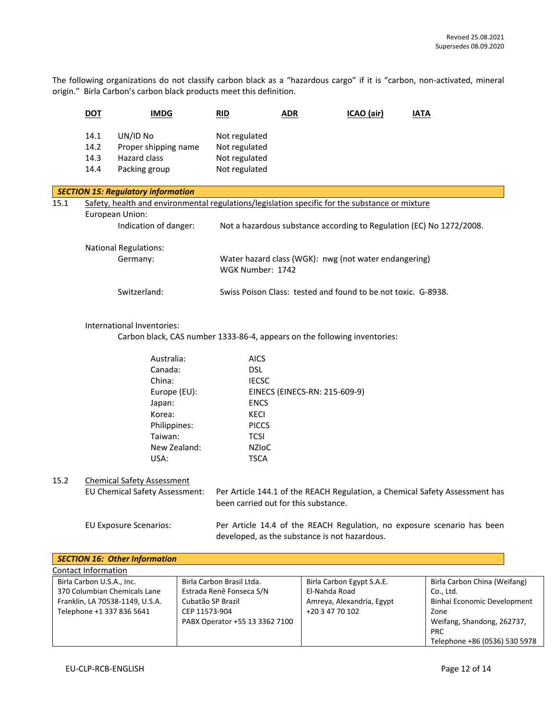The following organizations do not classify carbon black as a "hazardous cargo" if it is "carbon, non-activated, mineral origin." Birla Carbon's carbon black products meet this definition.

|                                                                                                        | <b>DOT</b>                               | <b>IMDG</b>                                                                                                                                                                                   |                                    | <b>RID</b><br><b>ADR</b>                                                                                                                                                                                                                                                               |                                  | ICAO (air)                                             | <b>IATA</b> |                                                                                                                |
|--------------------------------------------------------------------------------------------------------|------------------------------------------|-----------------------------------------------------------------------------------------------------------------------------------------------------------------------------------------------|------------------------------------|----------------------------------------------------------------------------------------------------------------------------------------------------------------------------------------------------------------------------------------------------------------------------------------|----------------------------------|--------------------------------------------------------|-------------|----------------------------------------------------------------------------------------------------------------|
|                                                                                                        | 14.1<br>14.2<br>14.3<br>14.4             | UN/ID No<br>Proper shipping name<br>Hazard class<br>Packing group                                                                                                                             |                                    | Not regulated<br>Not regulated<br>Not regulated<br>Not regulated                                                                                                                                                                                                                       |                                  |                                                        |             |                                                                                                                |
|                                                                                                        |                                          | <b>SECTION 15: Regulatory information</b>                                                                                                                                                     |                                    |                                                                                                                                                                                                                                                                                        |                                  |                                                        |             |                                                                                                                |
| 15.1<br>Safety, health and environmental regulations/legislation specific for the substance or mixture |                                          |                                                                                                                                                                                               |                                    |                                                                                                                                                                                                                                                                                        |                                  |                                                        |             |                                                                                                                |
|                                                                                                        |                                          | European Union:<br>Indication of danger:                                                                                                                                                      |                                    | Not a hazardous substance according to Regulation (EC) No 1272/2008.                                                                                                                                                                                                                   |                                  |                                                        |             |                                                                                                                |
|                                                                                                        | <b>National Regulations:</b><br>Germany: |                                                                                                                                                                                               |                                    | Water hazard class (WGK): nwg (not water endangering)<br>WGK Number: 1742                                                                                                                                                                                                              |                                  |                                                        |             |                                                                                                                |
|                                                                                                        |                                          | Switzerland:                                                                                                                                                                                  |                                    | Swiss Poison Class: tested and found to be not toxic. G-8938.                                                                                                                                                                                                                          |                                  |                                                        |             |                                                                                                                |
|                                                                                                        |                                          | International Inventories:                                                                                                                                                                    |                                    | Carbon black, CAS number 1333-86-4, appears on the following inventories:                                                                                                                                                                                                              |                                  |                                                        |             |                                                                                                                |
| 15.2                                                                                                   |                                          | Australia:<br>Canada:<br>China:<br>Europe (EU):<br>Japan:<br>Korea:<br>Philippines:<br>Taiwan:<br>New Zealand:<br>USA:<br><b>Chemical Safety Assessment</b><br>EU Chemical Safety Assessment: |                                    | <b>AICS</b><br><b>DSL</b><br><b>IECSC</b><br>EINECS (EINECS-RN: 215-609-9)<br><b>ENCS</b><br>KECI<br><b>PICCS</b><br><b>TCSI</b><br><b>NZIOC</b><br><b>TSCA</b><br>Per Article 144.1 of the REACH Regulation, a Chemical Safety Assessment has<br>been carried out for this substance. |                                  |                                                        |             |                                                                                                                |
|                                                                                                        |                                          | <b>EU Exposure Scenarios:</b>                                                                                                                                                                 |                                    | Per Article 14.4 of the REACH Regulation, no exposure scenario has been<br>developed, as the substance is not hazardous.                                                                                                                                                               |                                  |                                                        |             |                                                                                                                |
|                                                                                                        |                                          | <b>SECTION 16: Other Information</b>                                                                                                                                                          |                                    |                                                                                                                                                                                                                                                                                        |                                  |                                                        |             |                                                                                                                |
|                                                                                                        | Contact Information                      |                                                                                                                                                                                               |                                    |                                                                                                                                                                                                                                                                                        |                                  |                                                        |             |                                                                                                                |
|                                                                                                        | Birla Carbon U.S.A., Inc.                | 370 Columbian Chemicals Lane<br>Franklin, LA 70538-1149, U.S.A.<br>Telephone +1 337 836 5641                                                                                                  | Cubatão SP Brazil<br>CEP 11573-904 | Birla Carbon Brasil Ltda.<br>Estrada Renê Fonseca S/N<br>PABX Operator +55 13 3362 7100                                                                                                                                                                                                | El-Nahda Road<br>+20 3 47 70 102 | Birla Carbon Egypt S.A.E.<br>Amreya, Alexandria, Egypt |             | Birla Carbon China (Weifang)<br>Co., Ltd.<br>Binhai Economic Development<br>Zone<br>Weifang, Shandong, 262737, |

Telephone +86 (0536) 530 5978

PRC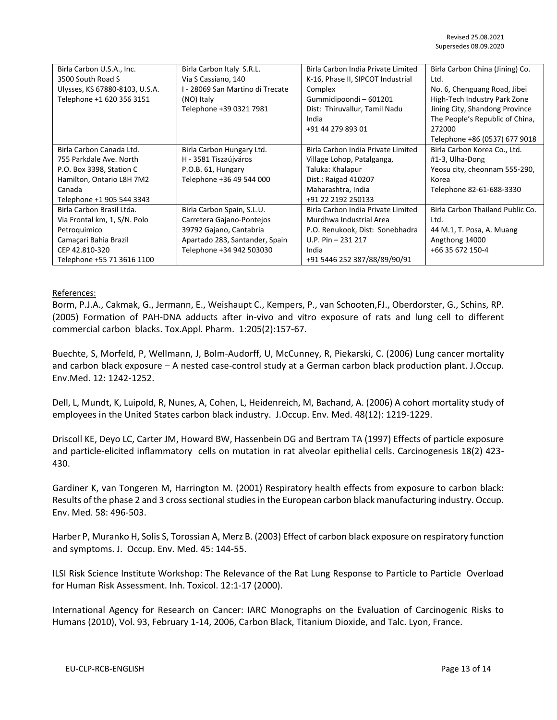| Birla Carbon U.S.A., Inc.      | Birla Carbon Italy S.R.L.        | Birla Carbon India Private Limited | Birla Carbon China (Jining) Co.  |
|--------------------------------|----------------------------------|------------------------------------|----------------------------------|
| 3500 South Road S              | Via S Cassiano, 140              | K-16, Phase II, SIPCOT Industrial  | Ltd.                             |
| Ulysses, KS 67880-8103, U.S.A. | I - 28069 San Martino di Trecate | Complex                            | No. 6, Chenguang Road, Jibei     |
|                                |                                  | Gummidipoondi - 601201             |                                  |
| Telephone +1 620 356 3151      | (NO) Italy                       |                                    | High-Tech Industry Park Zone     |
|                                | Telephone +39 0321 7981          | Dist: Thiruvallur, Tamil Nadu      | Jining City, Shandong Province   |
|                                |                                  | India                              | The People's Republic of China,  |
|                                |                                  | +91 44 279 893 01                  | 272000                           |
|                                |                                  |                                    | Telephone +86 (0537) 677 9018    |
| Birla Carbon Canada Ltd.       | Birla Carbon Hungary Ltd.        | Birla Carbon India Private Limited | Birla Carbon Korea Co., Ltd.     |
| 755 Parkdale Ave. North        | H - 3581 Tiszaújváros            | Village Lohop, Patalganga,         | #1-3, Ulha-Dong                  |
| P.O. Box 3398, Station C       | P.O.B. 61, Hungary               | Taluka: Khalapur                   | Yeosu city, cheonnam 555-290,    |
| Hamilton, Ontario L8H 7M2      | Telephone +36 49 544 000         | Dist.: Raigad 410207               | Korea                            |
| Canada                         |                                  | Maharashtra, India                 | Telephone 82-61-688-3330         |
| Telephone +1 905 544 3343      |                                  | +91 22 2192 250133                 |                                  |
| Birla Carbon Brasil Ltda.      | Birla Carbon Spain, S.L.U.       | Birla Carbon India Private Limited | Birla Carbon Thailand Public Co. |
| Via Frontal km, 1, S/N. Polo   | Carretera Gajano-Pontejos        | Murdhwa Industrial Area            | Ltd.                             |
| Petroquimico                   | 39792 Gajano, Cantabria          | P.O. Renukook, Dist: Sonebhadra    | 44 M.1, T. Posa, A. Muang        |
| Camaçari Bahia Brazil          | Apartado 283, Santander, Spain   | U.P. Pin $-231$ 217                | Angthong 14000                   |
| CEP 42.810-320                 | Telephone +34 942 503030         | India                              | +66 35 672 150-4                 |
| Telephone +55 71 3616 1100     |                                  | +91 5446 252 387/88/89/90/91       |                                  |

# References:

Borm, P.J.A., Cakmak, G., Jermann, E., Weishaupt C., Kempers, P., van Schooten,FJ., Oberdorster, G., Schins, RP. (2005) Formation of PAH-DNA adducts after in-vivo and vitro exposure of rats and lung cell to different commercial carbon blacks. Tox.Appl. Pharm. 1:205(2):157-67.

Buechte, S, Morfeld, P, Wellmann, J, Bolm-Audorff, U, McCunney, R, Piekarski, C. (2006) Lung cancer mortality and carbon black exposure – A nested case-control study at a German carbon black production plant. J.Occup. Env.Med. 12: 1242-1252.

Dell, L, Mundt, K, Luipold, R, Nunes, A, Cohen, L, Heidenreich, M, Bachand, A. (2006) A cohort mortality study of employees in the United States carbon black industry. J.Occup. Env. Med. 48(12): 1219-1229.

Driscoll KE, Deyo LC, Carter JM, Howard BW, Hassenbein DG and Bertram TA (1997) Effects of particle exposure and particle-elicited inflammatory cells on mutation in rat alveolar epithelial cells. Carcinogenesis 18(2) 423- 430.

Gardiner K, van Tongeren M, Harrington M. (2001) Respiratory health effects from exposure to carbon black: Results of the phase 2 and 3 cross sectional studies in the European carbon black manufacturing industry. Occup. Env. Med. 58: 496-503.

Harber P, Muranko H, Solis S, Torossian A, Merz B. (2003) Effect of carbon black exposure on respiratory function and symptoms. J. Occup. Env. Med. 45: 144-55.

ILSI Risk Science Institute Workshop: The Relevance of the Rat Lung Response to Particle to Particle Overload for Human Risk Assessment. Inh. Toxicol. 12:1-17 (2000).

International Agency for Research on Cancer: IARC Monographs on the Evaluation of Carcinogenic Risks to Humans (2010), Vol. 93, February 1-14, 2006, Carbon Black, Titanium Dioxide, and Talc. Lyon, France.